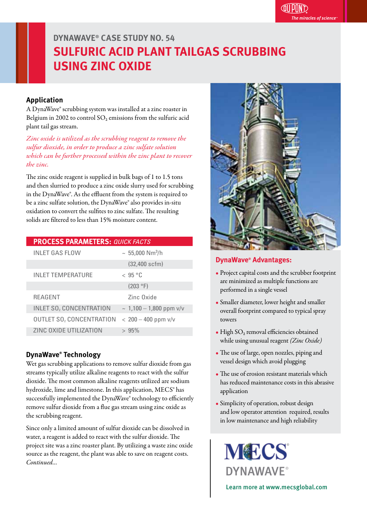# **DYNAWAVE® CASE STUDY NO. 54 SULFURIC ACID PLANT TAILGAS SCRUBBING USING ZINC OXIDE**

### **Application**

A DynaWave® scrubbing system was installed at a zinc roaster in Belgium in 2002 to control  $SO_2$  emissions from the sulfuric acid plant tail gas stream.

*Zinc oxide is utilized as the scrubbing reagent to remove the sulfur dioxide, in order to produce a zinc sulfate solution which can be further processed within the zinc plant to recover the zinc.*

The zinc oxide reagent is supplied in bulk bags of 1 to 1.5 tons and then slurried to produce a zinc oxide slurry used for scrubbing in the DynaWave®. As the effluent from the system is required to be a zinc sulfate solution, the DynaWave® also provides in-situ oxidation to convert the sulfites to zinc sulfate. The resulting solids are filtered to less than 15% moisture content.

| <b>PROCESS PARAMETERS: QUICK FACTS</b>    |                              |
|-------------------------------------------|------------------------------|
| <b>INLET GAS FLOW</b>                     | $~\sim~55,000~\rm Nm^3/h$    |
|                                           | $(32,400$ scfm $)$           |
| <b>INLET TEMPERATURE</b>                  | < 95 °C                      |
|                                           | (203 °F)                     |
| <b>REAGENT</b>                            | Zinc Oxide                   |
| <b>INLET SO<sub>2</sub> CONCENTRATION</b> | $\sim 1,100 - 1,800$ ppm v/v |
| <b>OUTLET SO, CONCENTRATION</b>           | $< 200 - 400$ ppm $v/v$      |
| ZINC OXIDE UTILIZATION                    | > 95%                        |

### **DynaWave® Technology**

Wet gas scrubbing applications to remove sulfur dioxide from gas streams typically utilize alkaline reagents to react with the sulfur dioxide. The most common alkaline reagents utilized are sodium hydroxide, lime and limestone. In this application, MECS<sup>®</sup> has successfully implemented the DynaWave® technology to efficiently remove sulfur dioxide from a flue gas stream using zinc oxide as the scrubbing reagent. j

Since only a limited amount of sulfur dioxide can be dissolved in water, a reagent is added to react with the sulfur dioxide. The project site was a zinc roaster plant. By utilizing a waste zinc oxide source as the reagent, the plant was able to save on reagent costs. *Continued...*



#### **DynaWave® Advantages:**

- Project capital costs and the scrubber footprint are minimized as multiple functions are performed in a single vessel
- Smaller diameter, lower height and smaller overall footprint compared to typical spray towers
- $\bullet$  High SO<sub>2</sub> removal efficiencies obtained while using unusual reagent *(Zinc Oxide)*
- The use of large, open nozzles, piping and vessel design which avoid plugging
- $\bullet$  The use of erosion resistant materials which has reduced maintenance costs in this abrasive application
- Simplicity of operation, robust design and low operator attention required, results in low maintenance and high reliability

**MECS DYNAWAVE®** 

Learn more at www.mecsglobal.com